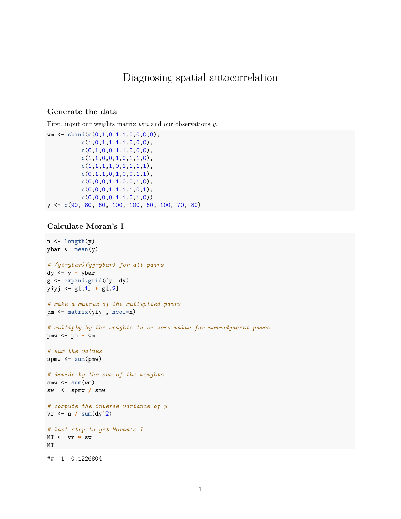## Diagnosing spatial autocorrelation

## **Generate the data**

First, input our weights matrix *wm* and our observations *y*.

```
wm <- cbind(c(0,1,0,1,1,0,0,0,0),
          c(1,0,1,1,1,1,0,0,0),
          c(0,1,0,0,1,1,0,0,0),
          c(1,1,0,0,1,0,1,1,0),
          c(1,1,1,1,0,1,1,1,1),
          c(0,1,1,0,1,0,0,1,1),
          c(0,0,0,1,1,0,0,1,0),
          c(0,0,0,1,1,1,1,0,1),
          c(0,0,0,0,1,1,0,1,0))
y <- c(90, 80, 60, 100, 100, 60, 100, 70, 80)
```
## **Calculate Moran's I**

```
n <- length(y)
ybar <- mean(y)
# (yi-ybar)(yj-ybar) for all pairs
dy <- y - ybar
g <- expand.grid(dy, dy)
yiyj <- g[,1] * g[,2]
# make a matrix of the multiplied pairs
pm <- matrix(yiyj, ncol=n)
# multiply by the weights to se zero value for non-adjacent pairs
pmw <- pm * wm
# sum the values
spmw <- sum(pmw)
# divide by the sum of the weights
smw \leftarrow sum(wm)sw <- spmw / smw
# compute the inverse variance of y
vr <- n / sum(dy^2)
# last step to get Moran's I
MI <- vr * sw
MI
## [1] 0.1226804
```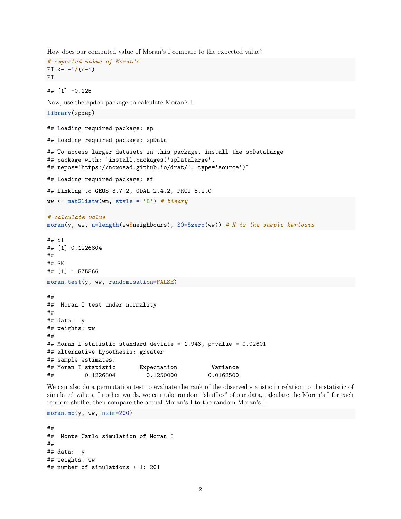How does our computed value of Moran's I compare to the expected value?

```
# expected value of Moran's
EI \leftarrow -1/(n-1)EI
```
## [1] -0.125

Now, use the spdep package to calculate Moran's I.

```
library(spdep)
## Loading required package: sp
## Loading required package: spData
## To access larger datasets in this package, install the spDataLarge
## package with: `install.packages('spDataLarge',
## repos='https://nowosad.github.io/drat/', type='source')`
## Loading required package: sf
## Linking to GEOS 3.7.2, GDAL 2.4.2, PROJ 5.2.0
ww <- mat2listw(wm, style = 'B') # binary
# calculate value
moran(y, ww, n=length(ww$neighbours), S0=Szero(ww)) # K is the sample kurtosis
## $I
## [1] 0.1226804
##
## $K
## [1] 1.575566
moran.test(y, ww, randomisation=FALSE)
##
## Moran I test under normality
##
## data: y
## weights: ww
##
## Moran I statistic standard deviate = 1.943, p-value = 0.02601
## alternative hypothesis: greater
## sample estimates:
## Moran I statistic Expectation Variance
## 0.1226804 -0.1250000 0.0162500
```
We can also do a permutation test to evaluate the rank of the observed statistic in relation to the statistic of simulated values. In other words, we can take random "shuffles" of our data, calculate the Moran's I for each random shuffle, then compare the actual Moran's I to the random Moran's I.

**moran.mc**(y, ww, nsim=200)

```
##
## Monte-Carlo simulation of Moran I
##
## data: y
## weights: ww
## number of simulations + 1: 201
```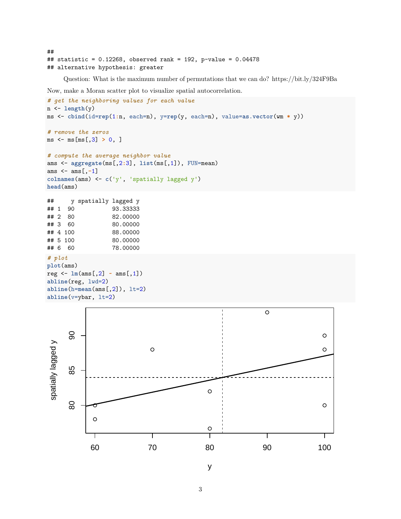```
##
## statistic = 0.12268, observed rank = 192, p-value = 0.04478
## alternative hypothesis: greater
```
Question: What is the maximum number of permutations that we can do?<https://bit.ly/324F9Ba>

Now, make a Moran scatter plot to visualize spatial autocorrelation.

```
# get the neighboring values for each value
n <- length(y)
ms <- cbind(id=rep(1:n, each=n), y=rep(y, each=n), value=as.vector(wm * y))
# remove the zeros
ms <- ms[ms[,3] > 0, ]
# compute the average neighbor value
ams <- aggregate(ms[,2:3], list(ms[,1]), FUN=mean)
ams <- ams[,-1]
colnames(ams) <- c('y', 'spatially lagged y')
head(ams)
## y spatially lagged y
## 1 90 93.33333
## 2 80 82.00000
## 3 60 80.00000
## 4 100 88.00000
## 5 100 80.00000
## 6 60 78.00000
# plot
plot(ams)
reg <- lm(ams[,2] ~ ams[,1])
abline(reg, lwd=2)
abline(h=mean(ams[,2]), lt=2)
abline(v=ybar, lt=2)
                                                               \circ90
      80 85 90
spatially lagged y
 spatially lagged y
                             \circ85
                                              \circ
```


 $\circ$ 

 $\circ$ 

y